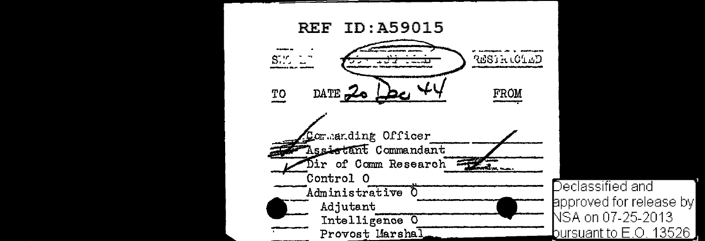

Declassified and ppproved for release by NSA on 07-25-2013 bursuant to E.O. 13526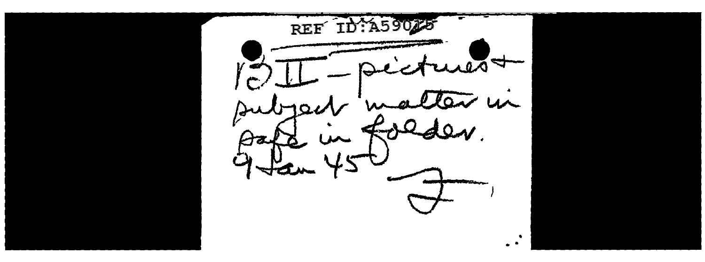REF ID:A590  $\blacktriangledown$ in  $\ddot{\phantom{0}}$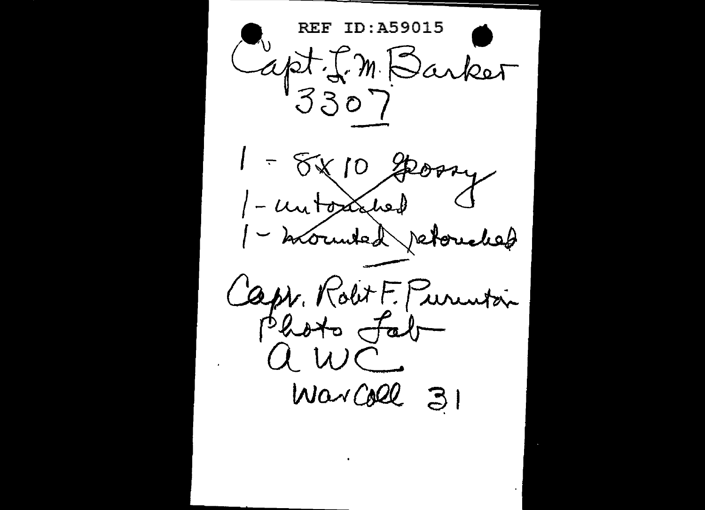**REF ID:A59015** Capt I. M. Barket 3307  $1 - 88108004$ 1- untoxinal 1 - brounted retouched Capr. Rolt F. Purentain Photo fab  $uwC$  $W\alpha\sqrt{1000}$  31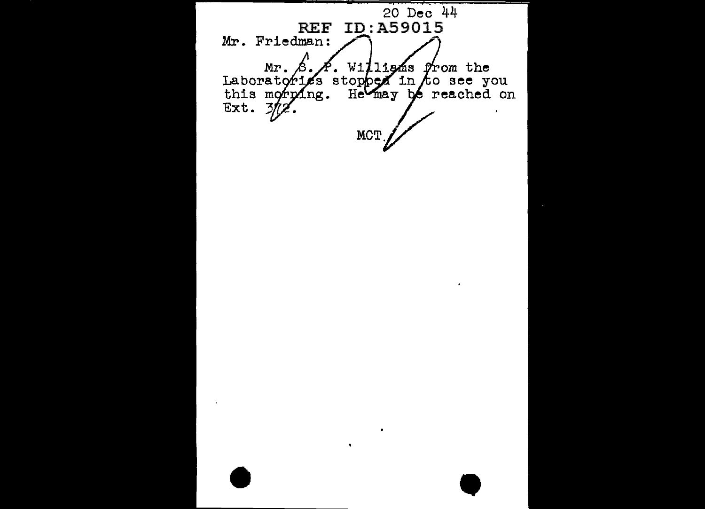20 Dec 44 **REF** Mr. Friedman: Mr. S. A. Williams from the<br>Laboratories stopped in to see you<br>this morping. He may be reached on<br>Ext. 3/12. MCT.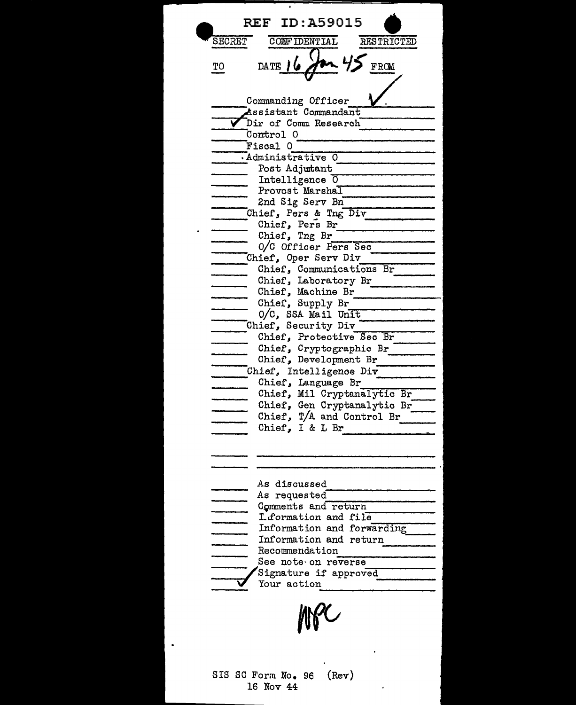**REF ID: A59015** CONFIDENTIAL **SECRET** RESTRICTED FROM DATE TО Commanding Officer Assistant Commandant Dir of Comm Research Control 0 Fiscal O Administrative 0 Post Adjutant Intelligence 0 Provost Marshal 2nd Sig Serv Bn Chief, Pers & Tng Div Chief, Pers Br Chief, Tng Br 0/C Officer Pers Sec Chief, Oper Serv Div Chief, Communications Br Chief, Laboratory Br Chief, Machine Br Chief, Supply Br O/C, SSA Mail Unit Chief, Security Div Chief, Protective Sec Br Chief, Cryptographic Br Chief, Development Br Chief, Intelligence Div Chief, Language Br  $\mathbf{r}$ Chief, Mil Cryptanalytic Br Chief, Gen Cryptanalytic Br Chief,  $T/A$  and Control Br Chief, I & L Br As discussed As requested Comments and return I.formation and file Information and forwarding Information and return Recommendation See note on reverse Signature if approved  $\triangledown$  Your action SIS SC Form No. 96  $(Rev)$ 16 Nov 44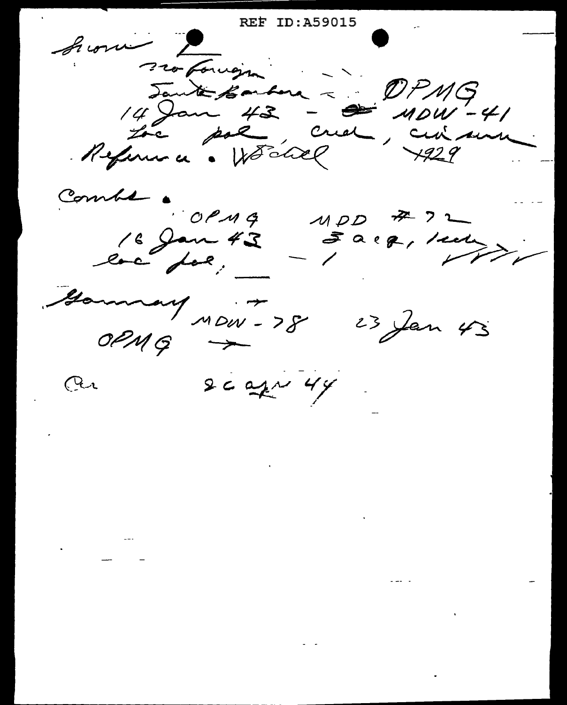**REF ID: A59015** Sion surfonsigne Jante Barbora ~ DPMG 14 Jan 43 - 2 11041-41 Combs  $OCMG$  $MDD$   $\overline{A}$  2 16 Jan 43 Earg, sur Gammany 10W - 78 23 Jan 43  $0PMG \rightarrow$  $2c$  apr  $44$  $Q_{\lambda}$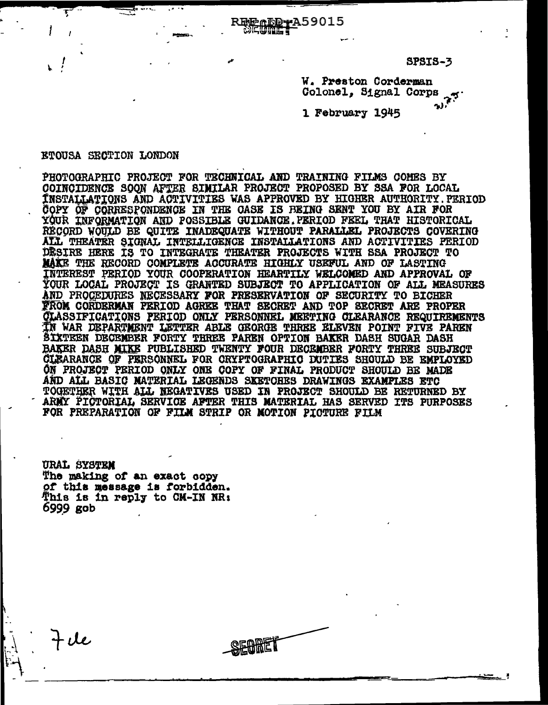SPSIS-3

W. Preston Corderman Colonel, Signal Corps

1 February 1945

## **ETOUSA SECTION LONDON**

PHOTOGRAPHIC PROJECT FOR TECHNICAL AND TRAINING FILMS COMES BY COINCIDENCE SOON AFTER SIMILAR PROJECT PROPOSED BY SSA FOR LOCAL **TNSTALLATIONS AND ACTIVITIES WAS APPROVED BY HIGHER AUTHORITY. PERIOD** COPY OF CORRESPONDENCE IN THE CASE IS BEING SENT YOU BY AIR FOR YOUR INFORMATION AND POSSIBLE GUIDANCE. PERIOD FEEL THAT HISTORICAL RECORD WOULD BE QUITE INADEQUATE WITHOUT PARALLEL PROJECTS COVERING ALL THEATER SIGNAL INTELLIGENCE INSTALLATIONS AND ACTIVITIES PERIOD DESIRE HERE IS TO INTEGRATE THEATER PROJECTS WITH SSA PROJECT TO MAKE THE RECORD COMPLETE ACCURATE HIGHLY USEFUL AND OF LASTING INTEREST PERIOD YOUR COOPERATION HEARTILY WELCOMED AND APPROVAL OF YOUR LOCAL PROJECT IS GRANTED SUBJECT TO APPLICATION OF ALL MEASURES AND PROCEDURES NECESSARY FOR PRESERVATION OF SECURITY TO BICHER FROM CORDERMAN PERIOD AGREE THAT SECRET AND TOP SECRET ARE PROPER **CLASSIFICATIONS PERIOD ONLY PERSONNEL MEETING CLEARANCE REQUIREMENTS** IN WAR DEPARTMENT LETTER ABLE GEORGE THREE ELEVEN POINT FIVE PAREN ŠIXTEEN DECEMBER FORTY THREE PAREN OPTION BAKER DASH SUGAR DASH BAKER DASH MIKE PUBLISHED TWENTY FOUR DECEMBER FORTY THREE SUBJECT CLEARANCE OF PERSONNEL FOR CRYPTOGRAPHIC DUTIES SHOULD BE EMPLOYED ON PROJECT PERIOD ONLY ONE COPY OF FINAL PRODUCT SHOULD BE MADE AND ALL BASIC MATERIAL LEGENDS SKETCHES DRAWINGS EXAMPLES ETC TOGETHER WITH ALL NEGATIVES USED IN PROJECT SHOULD BE RETURNED BY ARMY PICTORIAL SERVICE AFTER THIS MATERIAL HAS SERVED ITS PURPOSES FOR PREPARATION OF FILM STRIP OR MOTION PICTURE FILM

<u>REMADD+A59015</u>

**URAL SYSTEM** The making of an exact copy of this message is forbidden. This is in reply to CM-IN NR: 6999 gob

 $7ue$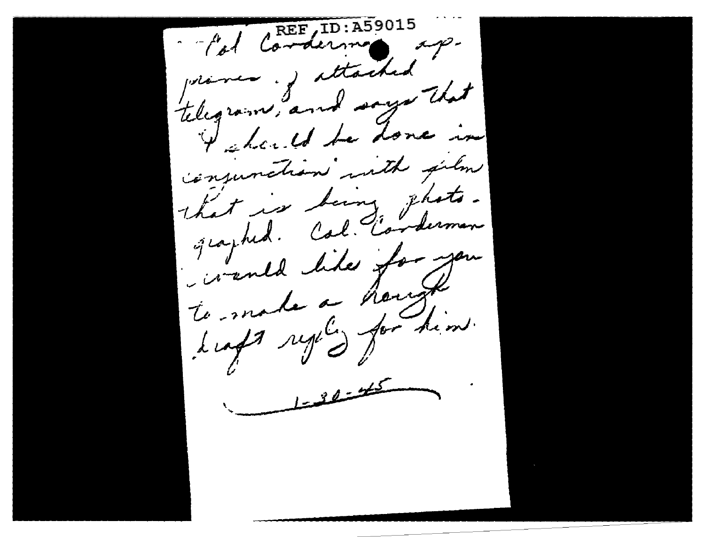other condersions of primes of attached telegram, and says that I should be done in conjunction with film that is being that. graphed. Cal. Conderman ivente like for journ. dans regiligement  $\frac{1-32-45}{2}$